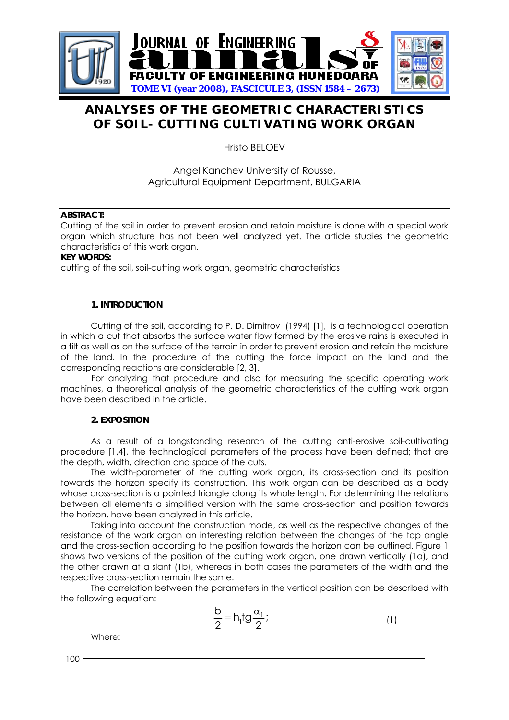

# **ANALYSES OF THE GEOMETRIC CHARACTERISTICS OF SOIL- CUTTING CULTIVATING WORK ORGAN**

Hristo BELOEV

Angel Kanchev University of Rousse, Agricultural Equipment Department, BULGARIA

### **ABSTRACT:**

Cutting of the soil in order to prevent erosion and retain moisture is done with a special work organ which structure has not been well analyzed yet. The article studies the geometric characteristics of this work organ.

**KEY WORDS:** 

cutting of the soil, soil-cutting work organ, geometric characteristics

### **1. INTRODUCTION**

Cutting of the soil, according to P. D. Dimitrov (1994) [1], is a technological operation in which a cut that absorbs the surface water flow formed by the erosive rains is executed in a tilt as well as on the surface of the terrain in order to prevent erosion and retain the moisture of the land. In the procedure of the cutting the force impact on the land and the corresponding reactions are considerable [2, 3].

 For analyzing that procedure and also for measuring the specific operating work machines, a theoretical analysis of the geometric characteristics of the cutting work organ have been described in the article.

# **2. EXPOSITION**

As a result of a longstanding research of the cutting anti-erosive soil-cultivating procedure [1,4], the technological parameters of the process have been defined; that are the depth, width, direction and space of the cuts.

The width-parameter of the cutting work organ, its cross-section and its position towards the horizon specify its construction. This work organ can be described as a body whose cross-section is a pointed triangle along its whole length. For determining the relations between all elements a simplified version with the same cross-section and position towards the horizon, have been analyzed in this article.

Taking into account the construction mode, as well as the respective changes of the resistance of the work organ an interesting relation between the changes of the top angle and the cross-section according to the position towards the horizon can be outlined. Figure 1 shows two versions of the position of the cutting work organ, one drawn vertically (1a), and the other drawn at a slant (1b), whereas in both cases the parameters of the width and the respective cross-section remain the same.

The correlation between the parameters in the vertical position can be described with the following equation:

$$
\frac{b}{2} = h_1 t g \frac{\alpha_1}{2};
$$
 (1)

Where:

 $100 =$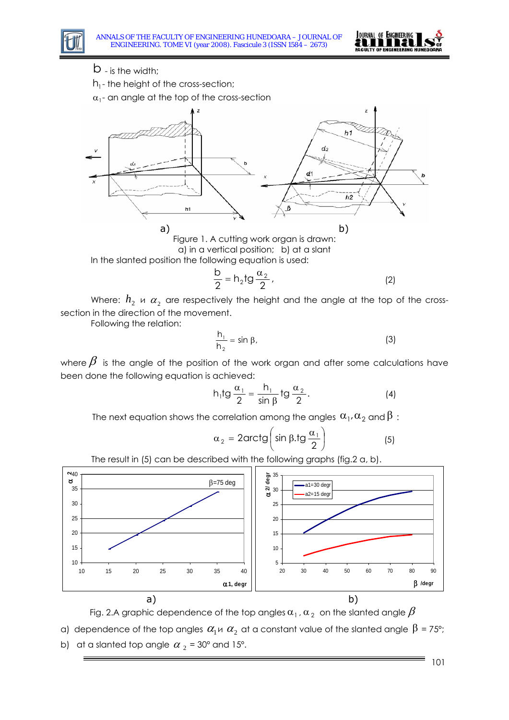

- - b is the width;

 $h_1$ - the height of the cross-section;

 $\alpha_1$ - an angle at the top of the cross-section



Figure 1. A cutting work organ is drawn: a) in a vertical position; b) at a slant In the slanted position the following equation is used:

$$
\frac{b}{2} = h_2 t g \frac{\alpha_2}{2},
$$
 (2)

Where:  $h_2 \bowtie \alpha_2$  are respectively the height and the angle at the top of the crosssection in the direction of the movement.

Following the relation:

$$
\frac{h_1}{h_2} = \sin \beta, \tag{3}
$$

where  $\beta$  is the angle of the position of the work organ and after some calculations have been done the following equation is achieved:

$$
h_1tg\frac{\alpha_1}{2}=\frac{h_1}{\sin\beta}tg\frac{\alpha_2}{2}.
$$
 (4)

The next equation shows the correlation among the angles  $\alpha_1, \alpha_2$  and  $\beta$ :

$$
\alpha_2 = 2 \text{arctg} \left( \sin \beta . \text{tg} \frac{\alpha_1}{2} \right) \tag{5}
$$



The result in (5) can be described with the following graphs (fig.2 a, b).

Fig. 2.A graphic dependence of the top angles  $\alpha_1$ ,  $\alpha_2$  on the slanted angle  $\beta$ 

α) dependence of the top angles  $\alpha_1 \shortparallel \alpha_2$  at a constant value of the slanted angle  $\beta$  = 75°;

b) at a slanted top angle  $\alpha_2$  = 30° and 15°.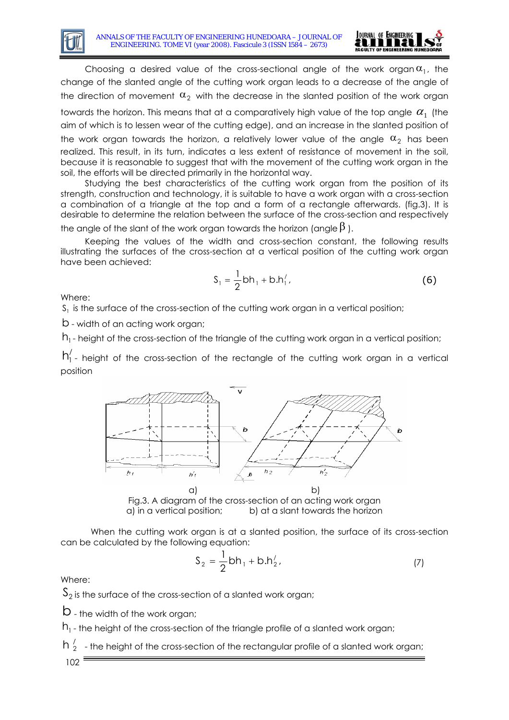

Choosing a desired value of the cross-sectional angle of the work organ  $\alpha_1$ , the change of the slanted angle of the cutting work organ leads to a decrease of the angle of the direction of movement  $\alpha_2$  with the decrease in the slanted position of the work organ towards the horizon. This means that at a comparatively high value of the top angle  $\alpha_{_1}$  (the aim of which is to lessen wear of the cutting edge), and an increase in the slanted position of the work organ towards the horizon, a relatively lower value of the angle  $\alpha_2$  has been realized. This result, in its turn, indicates a less extent of resistance of movement in the soil, because it is reasonable to suggest that with the movement of the cutting work organ in the soil, the efforts will be directed primarily in the horizontal way.

Studying the best characteristics of the cutting work organ from the position of its strength, construction and technology, it is suitable to have a work organ with a cross-section a combination of a triangle at the top and a form of a rectangle afterwards. (fig.3). It is desirable to determine the relation between the surface of the cross-section and respectively the angle of the slant of the work organ towards the horizon (angle  $\beta$ ).

Keeping the values of the width and cross-section constant, the following results illustrating the surfaces of the cross-section at a vertical position of the cutting work organ have been achieved:

$$
S_1 = \frac{1}{2}bh_1 + b.h'_1,
$$
 (6)

Where:

 $S<sub>1</sub>$  is the surface of the cross-section of the cutting work organ in a vertical position;

b - width of an acting work organ;

 $h_1$ - height of the cross-section of the triangle of the cutting work organ in a vertical position;

 $h'_1$  - height of the cross-section of the rectangle of the cutting work organ in a vertical position



Fig.3. A diagram of the cross-section of an acting work organ a) in a vertical position; b) at a slant towards the horizon

When the cutting work organ is at a slanted position, the surface of its cross-section can be calculated by the following equation:

$$
S_2 = \frac{1}{2}bh_1 + b.h'_2,
$$
 (7)

Where:

 $S_2$  is the surface of the cross-section of a slanted work organ;

b - the width of the work organ;

 $h_1$ - the height of the cross-section of the triangle profile of a slanted work organ;

 $h_2^{\prime}$  - the height of the cross-section of the rectangular profile of a slanted work organ; 102